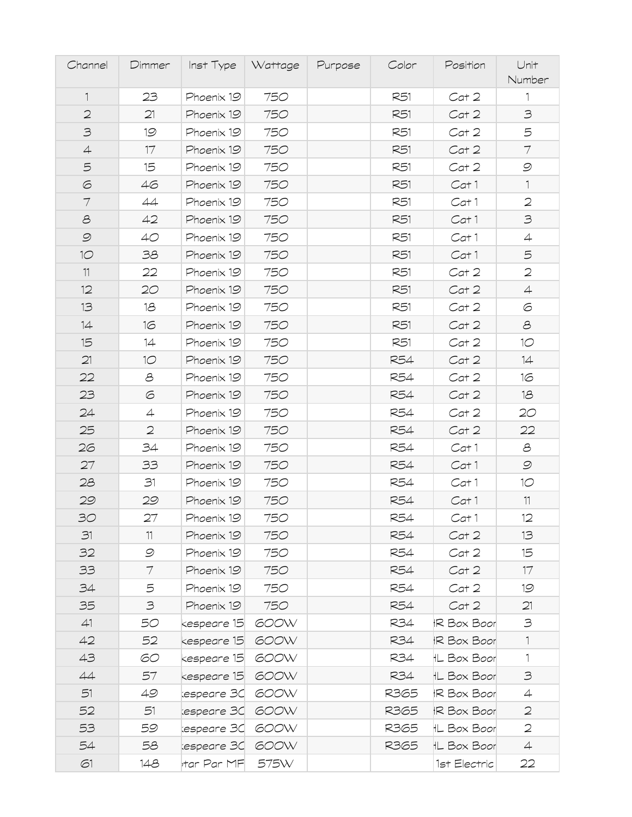| Channel        | Dimmer         | Inst Type Wattage |      | Purpose | Color      | Position           | Unit<br>Number |
|----------------|----------------|-------------------|------|---------|------------|--------------------|----------------|
| $\mathbb{1}$   | 23             | Phoenix 19        | 750  |         | R51        | Cat 2              | $\mathbf{1}$   |
| $\mathbf{2}$   | 21             | Phoenix 19        | 750  |         | R51        | Cat 2              | $\mathfrak{Z}$ |
| $\supset$      | 19             | Phoenix 19        | 750  |         | R51        | Cat 2              | 5              |
| $\overline{4}$ | 17             | Phoenix 19        | 750  |         | R51        | Cat 2              | $\tau$         |
| $\mathfrak S$  | 15             | Phoenix 19        | 750  |         | R51        | Cat 2              | $\mathcal{O}$  |
| $\odot$        | 46             | Phoenix 19        | 750  |         | R51        | Cat 1              | $\mathbb{1}$   |
| $\tau$         | 44             | Phoenix 19        | 750  |         | R51        | Cat 1              | $\mathbf 2$    |
| $\mathcal S$   | 42             | Phoenix 19        | 750  |         | R51        | Cat 1              | $\mathfrak{S}$ |
| $\mathcal{Q}$  | 40             | Phoenix 19        | 750  |         | R51        | Cat 1              | $\overline{4}$ |
| 10             | 38             | Phoenix 19        | 750  |         | R51        | Cat 1              | 5              |
| 11             | 22             | Phoenix 19        | 750  |         | R51        | Cat 2              | $\mathbf{2}$   |
| 12             | 20             | Phoenix 19        | 750  |         | R51        | Cat 2              | $\overline{4}$ |
| 13             | 18             | Phoenix 19        | 750  |         | R51        | Cat 2              | 6              |
| 14             | 16             | Phoenix 19        | 750  |         | R51        | Cat 2              | $\mathcal{S}$  |
| 15             | 14             | Phoenix 19        | 750  |         | R51        | Cat 2              | 10             |
| 21             | 10             | Phoenix 19        | 750  |         | R54        | Cat 2              | 14             |
| 22             | 8              | Phoenix 19        | 750  |         | <b>R54</b> | Cat 2              | 16             |
| 23             | 6              | Phoenix 19        | 750  |         | R54        | Cat 2              | 18             |
| 24             | $\overline{4}$ | Phoenix 19        | 750  |         | <b>R54</b> | Cat 2              | 20             |
| 25             | $\mathbf{2}$   | Phoenix 19        | 750  |         | R54        | Cat 2              | 22             |
| 26             | 34             | Phoenix 19        | 750  |         | <b>R54</b> | Cat 1              | පි             |
| 27             | 33             | Phoenix 19        | 750  |         | <b>R54</b> | Cat 1              | $\mathcal{O}$  |
| 28             | 31             | Phoenix 19        | 750  |         | <b>R54</b> | Cat 1              | 10             |
| 29             | 29             | Phoenix 19        | 750  |         | R54        | Cat 1              | 11             |
| 30             | 27             | Phoenix 19        | 750  |         | <b>R54</b> | Cat 1              | 12             |
| 31             | 11             | Phoenix 19        | 750  |         | R54        | Cat 2              | 13             |
| 32             | $\mathcal{O}$  | Phoenix 19        | 750  |         | R54        | Cat 2              | 15             |
| 33             | 7              | Phoenix 19        | 750  |         | R54        | Cat 2              | 17             |
| 34             | 5              | Phoenix 19        | 750  |         | R54        | Cat 2              | 19             |
| 35             | 3              | Phoenix 19        | 750  |         | R54        | Cat 2              | 21             |
| 41             | 50             | kespeare 15       | 600W |         | R34        | <b>IR Box Boor</b> | $\mathfrak{S}$ |
| 42             | 52             | kespeare 15       | 600W |         | R34        | <b>IR Box Boor</b> | $\mathbf{1}$   |
| 43             | 60             | kespeare 15       | 600W |         | R34        | <b>IL Box Boor</b> | 1              |
| 44             | 57             | kespeare 15       | 600W |         | R34        | <b>IL Box Boor</b> | 3              |
| 51             | 49             | espeare 30        | 600W |         | R365       | <b>IR Box Boor</b> | $\overline{4}$ |
| 52             | 51             | espeare 30        | 600W |         | R365       | <b>IR Box Boor</b> | $\mathfrak{D}$ |
| 53             | 59             | espeare 30        | 600W |         | R365       | <b>IL Box Boor</b> | $\mathbf{2}$   |
| 54             | 58             | espeare 30        | 600W |         | R365       | <b>IL Box Boor</b> | $\overline{4}$ |
| 61             | 148            | rtar Par MF       | 575W |         |            | 1st Electric       | 22             |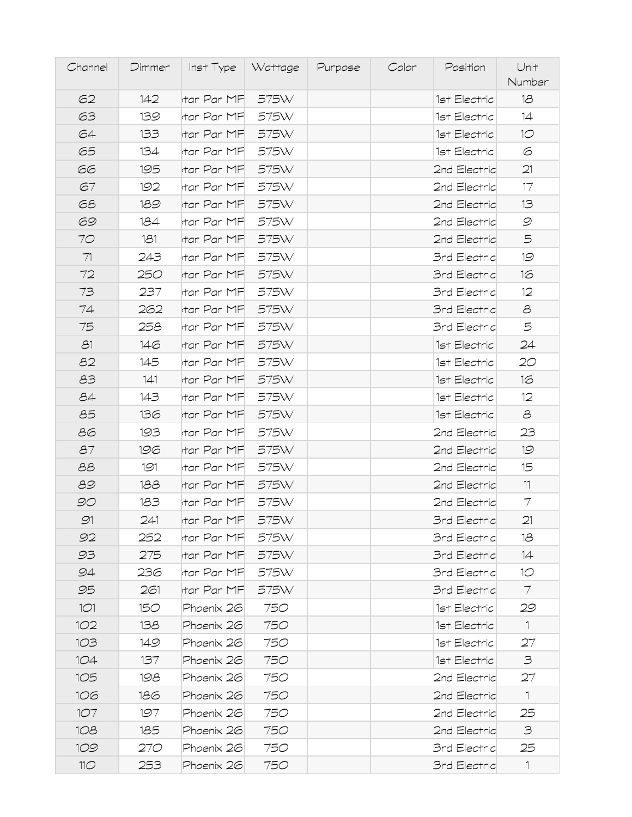| Channel         | Dimmer |                         | Inst Type   Wattage | Purpose | Color | Position            | Unit<br>Number              |
|-----------------|--------|-------------------------|---------------------|---------|-------|---------------------|-----------------------------|
| 62              | 142    | tar Par MF              | 575W                |         |       | 1st Electric        | 18                          |
| 63              | 139    | rtar Par MF             | 575W                |         |       | 1st Electric        | 14                          |
| 64              | 133    | rtar Par MF             | 575W                |         |       | 1st Electric        | 10 <sup>°</sup>             |
| 65              | 134    | rtar Par MF             | 575W                |         |       | 1st Electric        | 6                           |
| 66              | 195    | tar Par MF              | 575W                |         |       | 2nd Electric        | 21                          |
| 67              | 192    | rtar Par MF             | 575W                |         |       | 2nd Electric        | 17                          |
| 68              | 189    | rtar Par MF             | 575W                |         |       | 2nd Electric        | 13                          |
| 69              | 184    | <sub>l</sub> tar Par MF | 575W                |         |       | 2nd Electric        | $\mathcal{O}$               |
| 70              | 181    | rtar Par MF             | 575W                |         |       | 2nd Electric        | 5                           |
| 71              | 243    | tar Par MF              | 575W                |         |       | <b>3rd Electric</b> | 19                          |
| 72              | 250    | tar Par MF              | 575W                |         |       | <b>3rd Electric</b> | 16                          |
| 73              | 237    | rtar Par MF             | 575W                |         |       | 3rd Electric        | 12                          |
| 74              | 262    | tar Par MF              | 575W                |         |       | <b>3rd Electric</b> | $\mathcal{S}$               |
| 75              | 258    | rtar Par MF             | 575W                |         |       | <b>3rd Electric</b> | 5                           |
| 31              | 146    | rtar Par MF             | 575W                |         |       | 1st Electric        | 24                          |
| 82              | 145    | rtar Par MFI            | 575W                |         |       | 1st Electric        | 2O                          |
| 83              | 141    | rtar Par MF             | 575W                |         |       | 1st Electric        | 16                          |
| 84              | 143    | rtar Par MF             | 575W                |         |       | 1st Electric        | 12                          |
| 85              | 136    | rtar Par MF             | 575W                |         |       | 1st Electric        | $\mathcal{S}_{\mathcal{A}}$ |
| 86              | 193    | rtar Par MF             | 575W                |         |       | 2nd Electric        | 23                          |
| 87              | 196    | rtar Par MF             | 575W                |         |       | 2nd Electric        | 19                          |
| 88              | 191    | rtar Par MFI            | 575W                |         |       | 2nd Electric        | 15                          |
| 89              | 188    | tar Par MF              | 575W                |         |       | 2nd Electric        | 11                          |
| 90              | 183    | rtar Par MF             | 575W                |         |       | 2nd Electric        | 7                           |
| 91              | 241    | rtar Par MF             | 575W                |         |       | 3rd Electric        | 21                          |
| 92              | 252    | rtar Par MF             | 575W                |         |       | 3rd Electric        | 18                          |
| 93              | 275    | rtar Par MF             | 575W                |         |       | 3rd Electric        | 14                          |
| 94              | 236    | rtar Par MFI            | 575W                |         |       | <b>3rd Electric</b> | 10                          |
| 95              | 261    | rtar Par MF             | 575W                |         |       | <b>3rd Electric</b> | $\tau$                      |
| 1O1             | 150    | Phoenix 26              | 750                 |         |       | 1st Electric        | 29                          |
| 102             | 138    | Phoenix 26              | 750                 |         |       | 1st Electric        | $\mathbf{1}$                |
| 1O3             | 149    | Phoenix 26              | 750                 |         |       | 1st Electric        | 27                          |
| 1O4             | 137    | Phoenix 26              | 750                 |         |       | 1st Electric        | 3                           |
| 1O <sub>5</sub> | 198    | Phoenix 26              | 750                 |         |       | 2nd Electric        | 27                          |
| 106             | 186    | Phoenix 26              | 750                 |         |       | 2nd Electric        | $\mathbf{1}$                |
| 1O7             | 197    | Phoenix 26              | 750                 |         |       | 2nd Electric        | 25                          |
| 108             | 185    | Phoenix 26              | 750                 |         |       | 2nd Electric        | 3                           |
| 109             | 270    | Phoenix 26              | 750                 |         |       | 3rd Electric        | 25                          |
| 11 <sup>o</sup> | 253    | Phoenix 26              | 750                 |         |       | 3rd Electric        | $\mathbb{1}$                |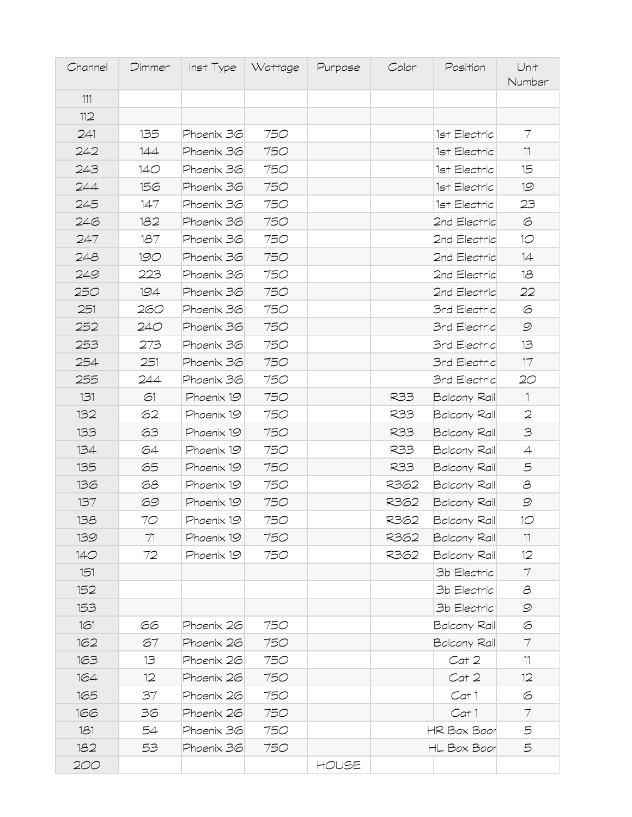| Channel | Dimmer | Inst Type  | Wattage | Purpose | Color | Position            | Unit<br>Number  |
|---------|--------|------------|---------|---------|-------|---------------------|-----------------|
| 111     |        |            |         |         |       |                     |                 |
| 112     |        |            |         |         |       |                     |                 |
| 241     | 135    | Phoenix 36 | 750     |         |       | 1st Electric        | 7               |
| 242     | 144    | Phoenix 36 | 750     |         |       | 1st Electric        | 11              |
| 243     | 140    | Phoenix 36 | 750     |         |       | 1st Electric        | 15              |
| 244     | 156    | Phoenix 36 | 750     |         |       | 1st Electric        | 19              |
| 245     | 147    | Phoenix 36 | 750     |         |       | 1st Electric        | 23              |
| 246     | 182    | Phoenix 36 | 750     |         |       | 2nd Electric        | 6               |
| 247     | 187    | Phoenix 36 | 750     |         |       | 2nd Electric        | 10              |
| 248     | 190    | Phoenix 36 | 750     |         |       | 2nd Electric        | 14              |
| 249     | 223    | Phoenix 36 | 750     |         |       | 2nd Electric        | 18              |
| 250     | 194    | Phoenix 36 | 750     |         |       | 2nd Electric        | 22              |
| 251     | 260    | Phoenix 36 | 750     |         |       | <b>3rd Electric</b> | 6               |
| 252     | 240    | Phoenix 36 | 750     |         |       | <b>3rd Electric</b> | $\mathcal{O}$   |
| 253     | 273    | Phoenix 36 | 750     |         |       | <b>3rd Electric</b> | 13              |
| 254     | 251    | Phoenix 36 | 750     |         |       | <b>3rd Electric</b> | 17              |
| 255     | 244    | Phoenix 36 | 750     |         |       | <b>3rd Electric</b> | 20              |
| 131     | 61     | Phoenix 19 | 750     |         | R33   | Balcony Rail        | $\mathbf{1}$    |
| 132     | 62     | Phoenix 19 | 750     |         | R33   | Balcony Rail        | $\mathfrak{D}$  |
| 133     | 63     | Phoenix 19 | 750     |         | R33   | Balcony Rail        | $\supseteq$     |
| 134     | 64     | Phoenix 19 | 750     |         | R33   | Balcony Rail        | $\overline{4}$  |
| 135     | 65     | Phoenix 19 | 750     |         | R33   | Balcony Rail        | 5               |
| 136     | 68     | Phoenix 19 | 750     |         | R362  | Balcony Rail        | පි              |
| 137     | 69     | Phoenix 19 | 750     |         | R362  | Balcony Rail        | $\mathcal{O}$   |
| 138     | 70     | Phoenix 19 | 750     |         | R362  | Balcony Rail        | 10 <sup>o</sup> |
| 139     | 71     | Phoenix 19 | 750     |         | R362  | <b>Balcony Rail</b> | 11              |
| 140     | 72     | Phoenix 19 | 750     |         | R362  | Balcony Rail        | 12              |
| 151     |        |            |         |         |       | 3b Electric         | 7               |
| 152     |        |            |         |         |       | 3b Electric         | 8               |
| 153     |        |            |         |         |       | 3b Electric         | $\mathcal{Q}$   |
| 161     | 66     | Phoenix 26 | 750     |         |       | Balcony Rail        | 6               |
| 162     | 67     | Phoenix 26 | 750     |         |       | <b>Balcony Rail</b> | 7               |
| 163     | 13     | Phoenix 26 | 750     |         |       | Cat 2               | 11              |
| 164     | 12     | Phoenix 26 | 750     |         |       | Cat 2               | 12              |
| 165     | 37     | Phoenix 26 | 750     |         |       | Cat 1               | 6               |
| 166     | 36     | Phoenix 26 | 750     |         |       | Cat 1               | $\tau$          |
| 181     | 54     | Phoenix 36 | 750     |         |       | HR Box Boor         | 5               |
| 182     | 53     | Phoenix 36 | 750     |         |       | HL Box Boor         | 5               |
| 200     |        |            |         | HOUSE   |       |                     |                 |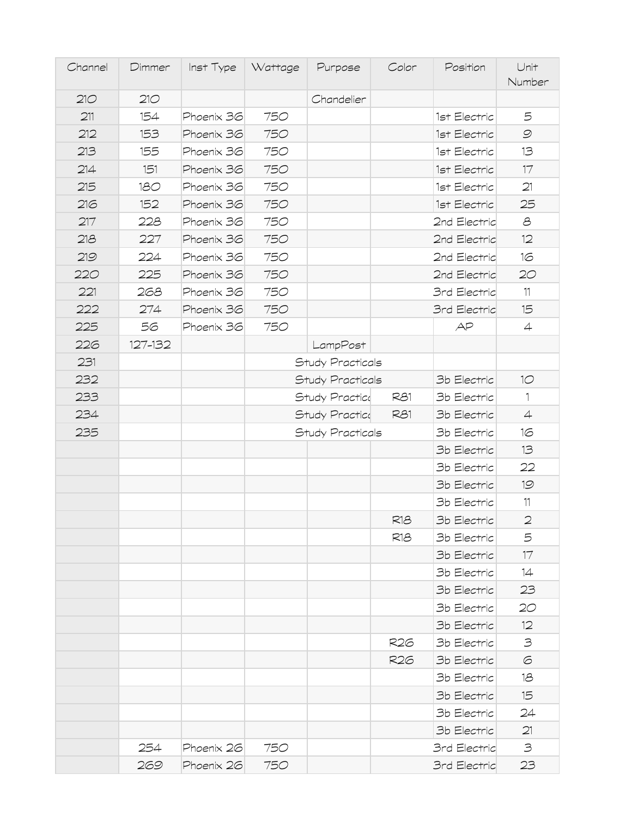| Channel | Dimmer  | Inst Type  | Wattage | Purpose          | Color | Position            | Unit<br>Number                                            |
|---------|---------|------------|---------|------------------|-------|---------------------|-----------------------------------------------------------|
| 210     | 210     |            |         | Chandelier       |       |                     |                                                           |
| 211     | 154     | Phoenix 36 | 750     |                  |       | 1st Electric        | 5                                                         |
| 212     | 153     | Phoenix 36 | 750     |                  |       | 1st Electric        | $\mathcal{O}$                                             |
| 213     | 155     | Phoenix 36 | 750     |                  |       | 1st Electric        | 13                                                        |
| 214     | 151     | Phoenix 36 | 750     |                  |       | 1st Electric        | 17                                                        |
| 215     | 180     | Phoenix 36 | 750     |                  |       | 1st Electric        | 21                                                        |
| 216     | 152     | Phoenix 36 | 750     |                  |       | 1st Electric        | 25                                                        |
| 217     | 228     | Phoenix 36 | 750     |                  |       | 2nd Electric        | $\mathcal{S}% _{M_{1},M_{2}}^{\alpha,\beta}(\varepsilon)$ |
| 218     | 227     | Phoenix 36 | 750     |                  |       | 2nd Electric        | 12                                                        |
| 219     | 224     | Phoenix 36 | 750     |                  |       | 2nd Electric        | 16                                                        |
| 220     | 225     | Phoenix 36 | 750     |                  |       | 2nd Electric        | 20                                                        |
| 221     | 268     | Phoenix 36 | 750     |                  |       | <b>3rd Electric</b> | 11                                                        |
| 222     | 274     | Phoenix 36 | 750     |                  |       | 3rd Electric        | 15                                                        |
| 225     | 56      | Phoenix 36 | 750     |                  |       | AP                  | 4                                                         |
| 226     | 127-132 |            |         | LampPost         |       |                     |                                                           |
| 231     |         |            |         | Study Practicals |       |                     |                                                           |
| 232     |         |            |         | Study Practicals |       | 3b Electric         | 10                                                        |
| 233     |         |            |         | Study Practice   | R81   | 3b Electric         | $\mathbf{1}$                                              |
| 234     |         |            |         | Study Practice   | R81   | 3b Electric         | $\overline{4}$                                            |
| 235     |         |            |         | Study Practicals |       | 3b Electric         | 16                                                        |
|         |         |            |         |                  |       | 3b Electric         | 13                                                        |
|         |         |            |         |                  |       | 3b Electric         | 22                                                        |
|         |         |            |         |                  |       | 3b Electric         | 19                                                        |
|         |         |            |         |                  |       | 3b Electric         | $11$                                                      |
|         |         |            |         |                  | R18   | 3b Electric         | $\mathfrak{D}$                                            |
|         |         |            |         |                  | R18   | 3b Electric         | 5                                                         |
|         |         |            |         |                  |       | 3b Electric         | 17                                                        |
|         |         |            |         |                  |       | 3b Electric         | 14                                                        |
|         |         |            |         |                  |       | 3b Electric         | 23                                                        |
|         |         |            |         |                  |       | 3b Electric         | 20                                                        |
|         |         |            |         |                  |       | 3b Electric         | 12                                                        |
|         |         |            |         |                  | R26   | 3b Electric         | 3                                                         |
|         |         |            |         |                  | R26   | 3b Electric         | 6                                                         |
|         |         |            |         |                  |       | 3b Electric         | 18                                                        |
|         |         |            |         |                  |       | 3b Electric         | 15                                                        |
|         |         |            |         |                  |       | 3b Electric         | 24                                                        |
|         |         |            |         |                  |       | 3b Electric         | 21                                                        |
|         | 254     | Phoenix 26 | 750     |                  |       | <b>3rd Electric</b> | 3                                                         |
|         | 269     | Phoenix 26 | 750     |                  |       | 3rd Electric        | 23                                                        |